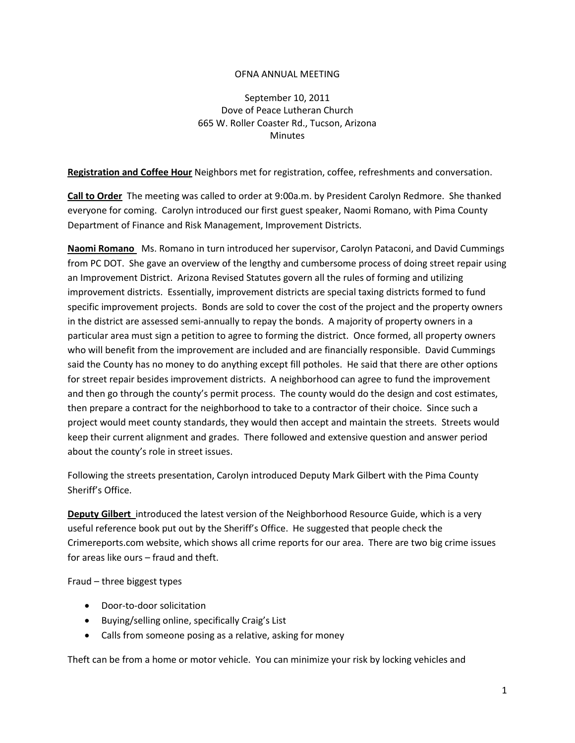## OFNA ANNUAL MEETING

September 10, 2011 Dove of Peace Lutheran Church 665 W. Roller Coaster Rd., Tucson, Arizona **Minutes** 

**Registration and Coffee Hour** Neighbors met for registration, coffee, refreshments and conversation.

**Call to Order** The meeting was called to order at 9:00a.m. by President Carolyn Redmore. She thanked everyone for coming. Carolyn introduced our first guest speaker, Naomi Romano, with Pima County Department of Finance and Risk Management, Improvement Districts.

**Naomi Romano** Ms. Romano in turn introduced her supervisor, Carolyn Pataconi, and David Cummings from PC DOT. She gave an overview of the lengthy and cumbersome process of doing street repair using an Improvement District. Arizona Revised Statutes govern all the rules of forming and utilizing improvement districts. Essentially, improvement districts are special taxing districts formed to fund specific improvement projects. Bonds are sold to cover the cost of the project and the property owners in the district are assessed semi-annually to repay the bonds. A majority of property owners in a particular area must sign a petition to agree to forming the district. Once formed, all property owners who will benefit from the improvement are included and are financially responsible. David Cummings said the County has no money to do anything except fill potholes. He said that there are other options for street repair besides improvement districts. A neighborhood can agree to fund the improvement and then go through the county's permit process. The county would do the design and cost estimates, then prepare a contract for the neighborhood to take to a contractor of their choice. Since such a project would meet county standards, they would then accept and maintain the streets. Streets would keep their current alignment and grades. There followed and extensive question and answer period about the county's role in street issues.

Following the streets presentation, Carolyn introduced Deputy Mark Gilbert with the Pima County Sheriff's Office.

**Deputy Gilbert** introduced the latest version of the Neighborhood Resource Guide, which is a very useful reference book put out by the Sheriff's Office. He suggested that people check the Crimereports.com website, which shows all crime reports for our area. There are two big crime issues for areas like ours – fraud and theft.

Fraud – three biggest types

- Door-to-door solicitation
- Buying/selling online, specifically Craig's List
- Calls from someone posing as a relative, asking for money

Theft can be from a home or motor vehicle. You can minimize your risk by locking vehicles and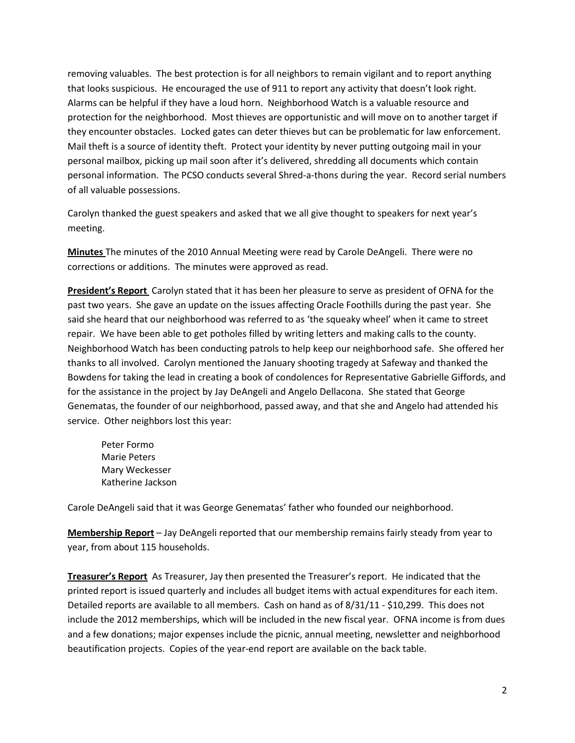removing valuables. The best protection is for all neighbors to remain vigilant and to report anything that looks suspicious. He encouraged the use of 911 to report any activity that doesn't look right. Alarms can be helpful if they have a loud horn. Neighborhood Watch is a valuable resource and protection for the neighborhood. Most thieves are opportunistic and will move on to another target if they encounter obstacles. Locked gates can deter thieves but can be problematic for law enforcement. Mail theft is a source of identity theft. Protect your identity by never putting outgoing mail in your personal mailbox, picking up mail soon after it's delivered, shredding all documents which contain personal information. The PCSO conducts several Shred-a-thons during the year. Record serial numbers of all valuable possessions.

Carolyn thanked the guest speakers and asked that we all give thought to speakers for next year's meeting.

**Minutes** The minutes of the 2010 Annual Meeting were read by Carole DeAngeli. There were no corrections or additions. The minutes were approved as read.

**President's Report** Carolyn stated that it has been her pleasure to serve as president of OFNA for the past two years. She gave an update on the issues affecting Oracle Foothills during the past year. She said she heard that our neighborhood was referred to as 'the squeaky wheel' when it came to street repair. We have been able to get potholes filled by writing letters and making calls to the county. Neighborhood Watch has been conducting patrols to help keep our neighborhood safe. She offered her thanks to all involved. Carolyn mentioned the January shooting tragedy at Safeway and thanked the Bowdens for taking the lead in creating a book of condolences for Representative Gabrielle Giffords, and for the assistance in the project by Jay DeAngeli and Angelo Dellacona. She stated that George Genematas, the founder of our neighborhood, passed away, and that she and Angelo had attended his service. Other neighbors lost this year:

Peter Formo Marie Peters Mary Weckesser Katherine Jackson

Carole DeAngeli said that it was George Genematas' father who founded our neighborhood.

**Membership Report** – Jay DeAngeli reported that our membership remains fairly steady from year to year, from about 115 households.

**Treasurer's Report** As Treasurer, Jay then presented the Treasurer's report. He indicated that the printed report is issued quarterly and includes all budget items with actual expenditures for each item. Detailed reports are available to all members. Cash on hand as of 8/31/11 - \$10,299. This does not include the 2012 memberships, which will be included in the new fiscal year. OFNA income is from dues and a few donations; major expenses include the picnic, annual meeting, newsletter and neighborhood beautification projects. Copies of the year-end report are available on the back table.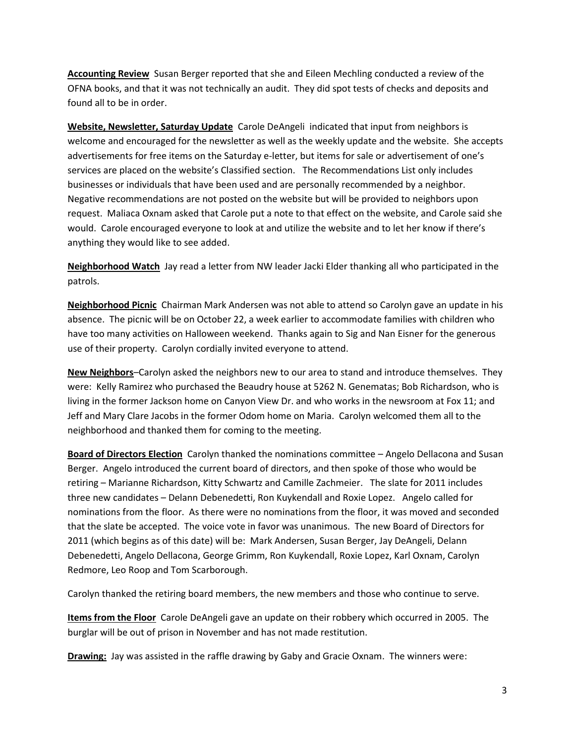**Accounting Review** Susan Berger reported that she and Eileen Mechling conducted a review of the OFNA books, and that it was not technically an audit. They did spot tests of checks and deposits and found all to be in order.

**Website, Newsletter, Saturday Update** Carole DeAngeli indicated that input from neighbors is welcome and encouraged for the newsletter as well as the weekly update and the website. She accepts advertisements for free items on the Saturday e-letter, but items for sale or advertisement of one's services are placed on the website's Classified section. The Recommendations List only includes businesses or individuals that have been used and are personally recommended by a neighbor. Negative recommendations are not posted on the website but will be provided to neighbors upon request. Maliaca Oxnam asked that Carole put a note to that effect on the website, and Carole said she would. Carole encouraged everyone to look at and utilize the website and to let her know if there's anything they would like to see added.

**Neighborhood Watch** Jay read a letter from NW leader Jacki Elder thanking all who participated in the patrols.

**Neighborhood Picnic** Chairman Mark Andersen was not able to attend so Carolyn gave an update in his absence. The picnic will be on October 22, a week earlier to accommodate families with children who have too many activities on Halloween weekend. Thanks again to Sig and Nan Eisner for the generous use of their property. Carolyn cordially invited everyone to attend.

**New Neighbors**–Carolyn asked the neighbors new to our area to stand and introduce themselves. They were: Kelly Ramirez who purchased the Beaudry house at 5262 N. Genematas; Bob Richardson, who is living in the former Jackson home on Canyon View Dr. and who works in the newsroom at Fox 11; and Jeff and Mary Clare Jacobs in the former Odom home on Maria. Carolyn welcomed them all to the neighborhood and thanked them for coming to the meeting.

**Board of Directors Election** Carolyn thanked the nominations committee – Angelo Dellacona and Susan Berger. Angelo introduced the current board of directors, and then spoke of those who would be retiring – Marianne Richardson, Kitty Schwartz and Camille Zachmeier. The slate for 2011 includes three new candidates – Delann Debenedetti, Ron Kuykendall and Roxie Lopez. Angelo called for nominations from the floor. As there were no nominations from the floor, it was moved and seconded that the slate be accepted. The voice vote in favor was unanimous. The new Board of Directors for 2011 (which begins as of this date) will be: Mark Andersen, Susan Berger, Jay DeAngeli, Delann Debenedetti, Angelo Dellacona, George Grimm, Ron Kuykendall, Roxie Lopez, Karl Oxnam, Carolyn Redmore, Leo Roop and Tom Scarborough.

Carolyn thanked the retiring board members, the new members and those who continue to serve.

**Items from the Floor** Carole DeAngeli gave an update on their robbery which occurred in 2005. The burglar will be out of prison in November and has not made restitution.

**Drawing:** Jay was assisted in the raffle drawing by Gaby and Gracie Oxnam. The winners were: